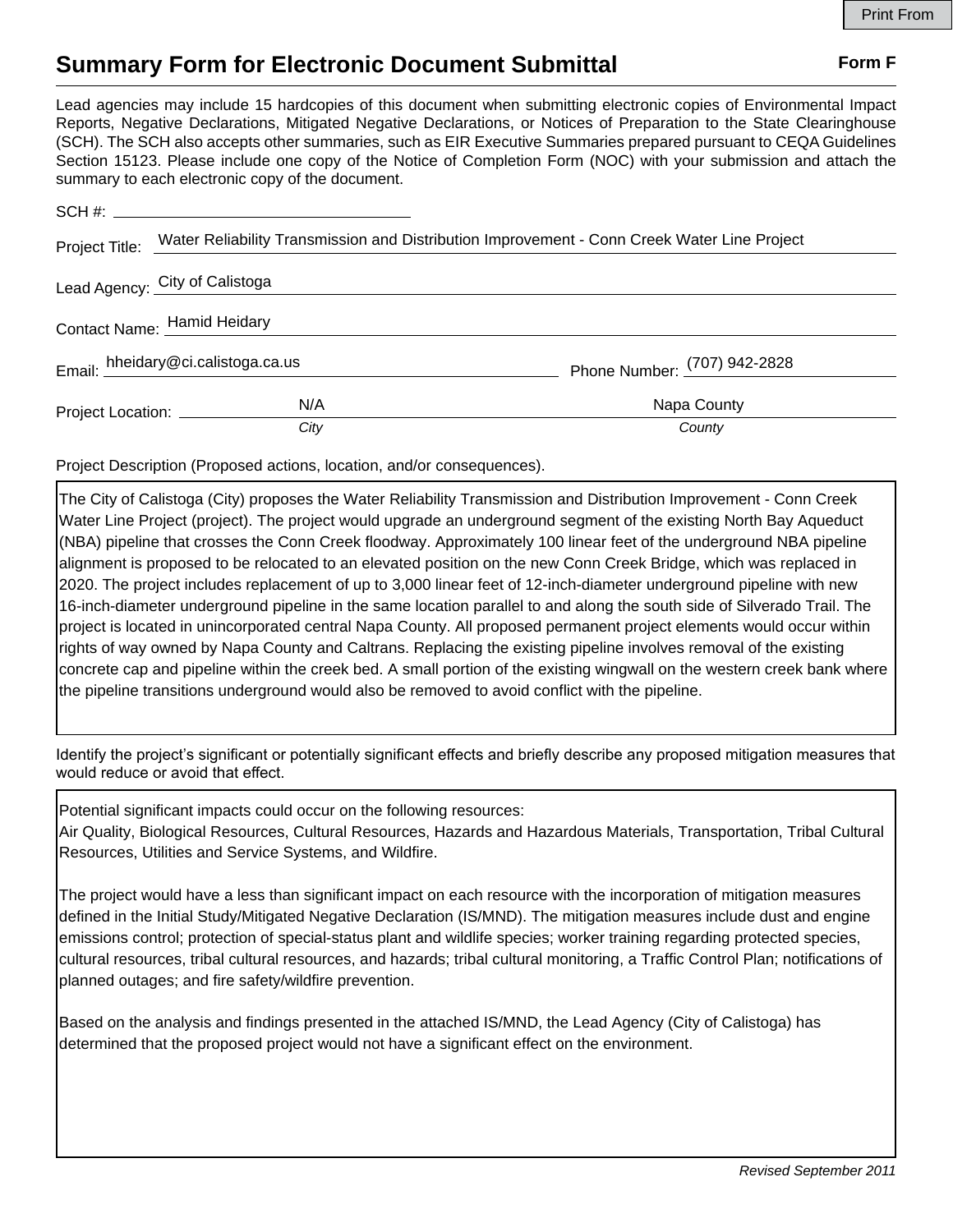## **Summary Form for Electronic Document Submittal Form F Form F**

Lead agencies may include 15 hardcopies of this document when submitting electronic copies of Environmental Impact Reports, Negative Declarations, Mitigated Negative Declarations, or Notices of Preparation to the State Clearinghouse (SCH). The SCH also accepts other summaries, such as EIR Executive Summaries prepared pursuant to CEQA Guidelines Section 15123. Please include one copy of the Notice of Completion Form (NOC) with your submission and attach the summary to each electronic copy of the document.

|                                    | Project Title: Water Reliability Transmission and Distribution Improvement - Conn Creek Water Line Project |                              |
|------------------------------------|------------------------------------------------------------------------------------------------------------|------------------------------|
| Lead Agency: City of Calistoga     |                                                                                                            |                              |
| Contact Name: Hamid Heidary        |                                                                                                            |                              |
| Email: hheidary@ci.calistoga.ca.us |                                                                                                            | Phone Number: (707) 942-2828 |
| Project Location: __________       | N/A                                                                                                        | Napa County                  |
|                                    | City                                                                                                       | County                       |

Project Description (Proposed actions, location, and/or consequences).

The City of Calistoga (City) proposes the Water Reliability Transmission and Distribution Improvement - Conn Creek Water Line Project (project). The project would upgrade an underground segment of the existing North Bay Aqueduct (NBA) pipeline that crosses the Conn Creek floodway. Approximately 100 linear feet of the underground NBA pipeline alignment is proposed to be relocated to an elevated position on the new Conn Creek Bridge, which was replaced in 2020. The project includes replacement of up to 3,000 linear feet of 12-inch-diameter underground pipeline with new 16-inch-diameter underground pipeline in the same location parallel to and along the south side of Silverado Trail. The project is located in unincorporated central Napa County. All proposed permanent project elements would occur within rights of way owned by Napa County and Caltrans. Replacing the existing pipeline involves removal of the existing concrete cap and pipeline within the creek bed. A small portion of the existing wingwall on the western creek bank where the pipeline transitions underground would also be removed to avoid conflict with the pipeline.

Identify the project's significant or potentially significant effects and briefly describe any proposed mitigation measures that would reduce or avoid that effect.

Potential significant impacts could occur on the following resources:

Air Quality, Biological Resources, Cultural Resources, Hazards and Hazardous Materials, Transportation, Tribal Cultural Resources, Utilities and Service Systems, and Wildfire.

The project would have a less than significant impact on each resource with the incorporation of mitigation measures defined in the Initial Study/Mitigated Negative Declaration (IS/MND). The mitigation measures include dust and engine emissions control; protection of special-status plant and wildlife species; worker training regarding protected species, cultural resources, tribal cultural resources, and hazards; tribal cultural monitoring, a Traffic Control Plan; notifications of planned outages; and fire safety/wildfire prevention.

Based on the analysis and findings presented in the attached IS/MND, the Lead Agency (City of Calistoga) has determined that the proposed project would not have a significant effect on the environment.